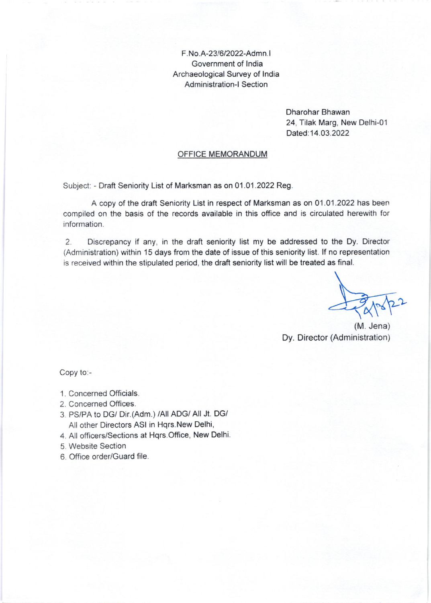F. No.A-23/6/2022-Admn. <sup>I</sup> Government of lndia Archaeological Survey of lndia Administration-l Section

> Dharohar Bhawan 24, Tilak Marg, New Delhi-O1 Dated: 14.03.2022

## OFFICE MEMORANDUM

Subject: - Draft Seniority List of Marksman as on 01.01.2022 Reg.

A copy of the draft Seniority List in respect of Marksman as on 01 .01.2022 has been compiled on the basis of the records available in this office and is circulated herewith for information.

2. Discrepancy if any, in the draft seniority list my be addressed to the Dy. Director (Administration) within 15 days from the date of issue of this seniority list. lf no representation is received within the stipulated period, the draft seniority list will be treated as final.

 $\overline{a}$  $A^{3/2}$ 

(M. Jena) Dy. Director (Administration)

Copy to:-

- <sup>1</sup>. Concerned Officials.
- 2. Concerned Offices.
- 3 PS/PA to DG/ Dir.(Adm.) /All ADG/ All Jt. DGi All other Directors ASI in Hqrs.New Delhi,
- 4. All officers/Sections at Hqrs.Office, New Delhi.
- 5. Website Section
- 6. Office order/Guard file.